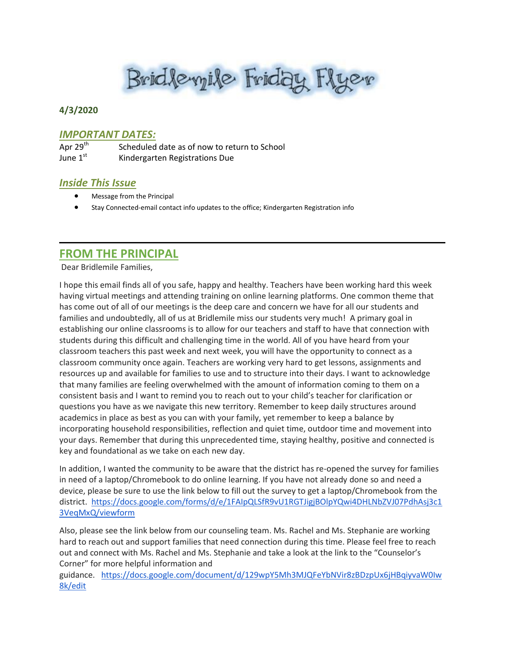Bridlevyile Friday Flyer

### **4/3/2020**

#### *IMPORTANT DATES:*

| Apr 29 <sup>th</sup> | Scheduled date as of now to return to School |
|----------------------|----------------------------------------------|
| June 1st             | Kindergarten Registrations Due               |

#### *Inside This Issue*

- Message from the Principal
- Stay Connected-email contact info updates to the office; Kindergarten Registration info

## **FROM THE PRINCIPAL**

Dear Bridlemile Families,

I hope this email finds all of you safe, happy and healthy. Teachers have been working hard this week having virtual meetings and attending training on online learning platforms. One common theme that has come out of all of our meetings is the deep care and concern we have for all our students and families and undoubtedly, all of us at Bridlemile miss our students very much! A primary goal in establishing our online classrooms is to allow for our teachers and staff to have that connection with students during this difficult and challenging time in the world. All of you have heard from your classroom teachers this past week and next week, you will have the opportunity to connect as a classroom community once again. Teachers are working very hard to get lessons, assignments and resources up and available for families to use and to structure into their days. I want to acknowledge that many families are feeling overwhelmed with the amount of information coming to them on a consistent basis and I want to remind you to reach out to your child's teacher for clarification or questions you have as we navigate this new territory. Remember to keep daily structures around academics in place as best as you can with your family, yet remember to keep a balance by incorporating household responsibilities, reflection and quiet time, outdoor time and movement into your days. Remember that during this unprecedented time, staying healthy, positive and connected is key and foundational as we take on each new day.

In addition, I wanted the community to be aware that the district has re-opened the survey for families in need of a laptop/Chromebook to do online learning. If you have not already done so and need a device, please be sure to use the link below to fill out the survey to get a laptop/Chromebook from the district. [https://docs.google.com/forms/d/e/1FAIpQLSfR9vU1RGTJigjBOlpYQwi4DHLNbZVJ07PdhAsj3c1](https://nam04.safelinks.protection.outlook.com/?url=https%3A%2F%2Fdocs.google.com%2Fforms%2Fd%2Fe%2F1FAIpQLSfR9vU1RGTJigjBOlpYQwi4DHLNbZVJ07PdhAsj3c13VeqMxQ%2Fviewform&data=02%7C01%7C%7Ce8927d50970c4b1d7d4408d7d80dc0a9%7C84df9e7fe9f640afb435aaaaaaaaaaaa%7C1%7C0%7C637215425878534461&sdata=pmtvkBFN1PjvN7qknzECq%2F2afrbdWsNZ%2F7R2rt%2BeA9M%3D&reserved=0) [3VeqMxQ/viewform](https://nam04.safelinks.protection.outlook.com/?url=https%3A%2F%2Fdocs.google.com%2Fforms%2Fd%2Fe%2F1FAIpQLSfR9vU1RGTJigjBOlpYQwi4DHLNbZVJ07PdhAsj3c13VeqMxQ%2Fviewform&data=02%7C01%7C%7Ce8927d50970c4b1d7d4408d7d80dc0a9%7C84df9e7fe9f640afb435aaaaaaaaaaaa%7C1%7C0%7C637215425878534461&sdata=pmtvkBFN1PjvN7qknzECq%2F2afrbdWsNZ%2F7R2rt%2BeA9M%3D&reserved=0)

Also, please see the link below from our counseling team. Ms. Rachel and Ms. Stephanie are working hard to reach out and support families that need connection during this time. Please feel free to reach out and connect with Ms. Rachel and Ms. Stephanie and take a look at the link to the "Counselor's Corner" for more helpful information and

guidance. [https://docs.google.com/document/d/129wpY5Mh3MJQFeYbNVir8zBDzpUx6jHBqiyvaW0Iw](https://nam04.safelinks.protection.outlook.com/?url=https%3A%2F%2Fdocs.google.com%2Fdocument%2Fd%2F129wpY5Mh3MJQFeYbNVir8zBDzpUx6jHBqiyvaW0Iw8k%2Fedit&data=02%7C01%7C%7Ce8927d50970c4b1d7d4408d7d80dc0a9%7C84df9e7fe9f640afb435aaaaaaaaaaaa%7C1%7C0%7C637215425878544452&sdata=71LYPHHi3viSjeBJoDiZAV71CzrA5W%2FHuj2QpDIHfjM%3D&reserved=0) [8k/edit](https://nam04.safelinks.protection.outlook.com/?url=https%3A%2F%2Fdocs.google.com%2Fdocument%2Fd%2F129wpY5Mh3MJQFeYbNVir8zBDzpUx6jHBqiyvaW0Iw8k%2Fedit&data=02%7C01%7C%7Ce8927d50970c4b1d7d4408d7d80dc0a9%7C84df9e7fe9f640afb435aaaaaaaaaaaa%7C1%7C0%7C637215425878544452&sdata=71LYPHHi3viSjeBJoDiZAV71CzrA5W%2FHuj2QpDIHfjM%3D&reserved=0)